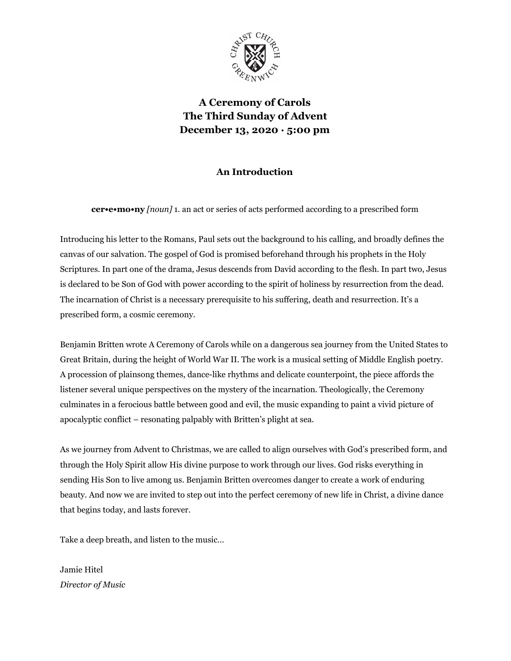

**A Ceremony of Carols The Third Sunday of Advent December 13, 2020 · 5:00 pm**

## **An Introduction**

**cer•e•mo•ny** *[noun]* 1. an act or series of acts performed according to a prescribed form

Introducing his letter to the Romans, Paul sets out the background to his calling, and broadly defines the canvas of our salvation. The gospel of God is promised beforehand through his prophets in the Holy Scriptures. In part one of the drama, Jesus descends from David according to the flesh. In part two, Jesus is declared to be Son of God with power according to the spirit of holiness by resurrection from the dead. The incarnation of Christ is a necessary prerequisite to his suffering, death and resurrection. It's a prescribed form, a cosmic ceremony.

Benjamin Britten wrote A Ceremony of Carols while on a dangerous sea journey from the United States to Great Britain, during the height of World War II. The work is a musical setting of Middle English poetry. A procession of plainsong themes, dance-like rhythms and delicate counterpoint, the piece affords the listener several unique perspectives on the mystery of the incarnation. Theologically, the Ceremony culminates in a ferocious battle between good and evil, the music expanding to paint a vivid picture of apocalyptic conflict – resonating palpably with Britten's plight at sea.

As we journey from Advent to Christmas, we are called to align ourselves with God's prescribed form, and through the Holy Spirit allow His divine purpose to work through our lives. God risks everything in sending His Son to live among us. Benjamin Britten overcomes danger to create a work of enduring beauty. And now we are invited to step out into the perfect ceremony of new life in Christ, a divine dance that begins today, and lasts forever.

Take a deep breath, and listen to the music…

Jamie Hitel *Director of Music*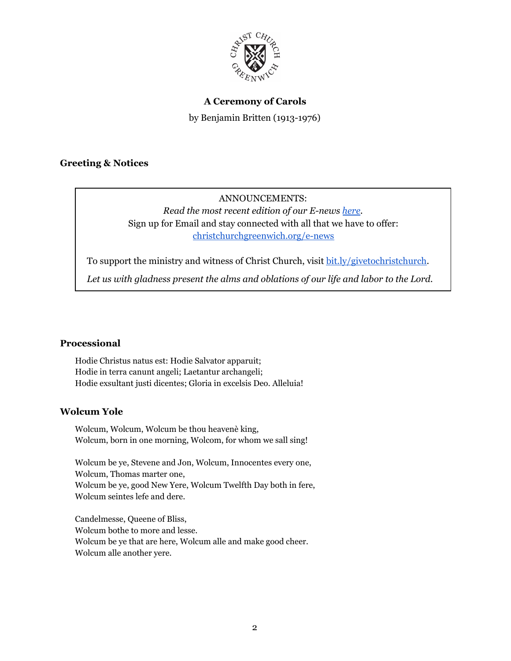

### **A Ceremony of Carols**

by Benjamin Britten (1913-1976)

### **Greeting & Notices**

# ANNOUNCEMENTS: *Read the most recent edition of our E-news [here.](http://createsend.com/t/r-0F0495FF8289FA2B2540EF23F30FEDED)* Sign up for Email and stay connected with all that we have to offer: [christchurchgreenwich.org/e-news](https://christchurchgreenwich.org/e-news/)

To support the ministry and witness of Christ Church, visit [bit.ly/givetochristchurch.](http://bit.ly/givetochristchurch)

*Let us with gladness present the alms and oblations of our life and labor to the Lord.*

### **Processional**

Hodie Christus natus est: Hodie Salvator apparuit; Hodie in terra canunt angeli; Laetantur archangeli; Hodie exsultant justi dicentes; Gloria in excelsis Deo. Alleluia!

### **Wolcum Yole**

Wolcum, Wolcum, Wolcum be thou heavenè king, Wolcum, born in one morning, Wolcom, for whom we sall sing!

Wolcum be ye, Stevene and Jon, Wolcum, Innocentes every one, Wolcum, Thomas marter one, Wolcum be ye, good New Yere, Wolcum Twelfth Day both in fere, Wolcum seintes lefe and dere.

Candelmesse, Queene of Bliss, Wolcum bothe to more and lesse. Wolcum be ye that are here, Wolcum alle and make good cheer. Wolcum alle another yere.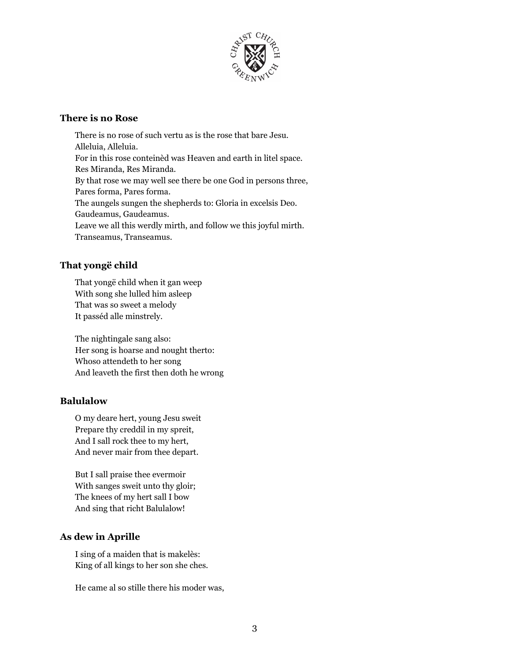

#### **There is no Rose**

There is no rose of such vertu as is the rose that bare Jesu. Alleluia, Alleluia. For in this rose conteinèd was Heaven and earth in litel space. Res Miranda, Res Miranda. By that rose we may well see there be one God in persons three, Pares forma, Pares forma. The aungels sungen the shepherds to: Gloria in excelsis Deo. Gaudeamus, Gaudeamus. Leave we all this werdly mirth, and follow we this joyful mirth. Transeamus, Transeamus.

### **That yongë child**

That yongë child when it gan weep With song she lulled him asleep That was so sweet a melody It passéd alle minstrely.

The nightingale sang also: Her song is hoarse and nought therto: Whoso attendeth to her song And leaveth the first then doth he wrong

## **Balulalow**

O my deare hert, young Jesu sweit Prepare thy creddil in my spreit, And I sall rock thee to my hert, And never mair from thee depart.

But I sall praise thee evermoir With sanges sweit unto thy gloir; The knees of my hert sall I bow And sing that richt Balulalow!

## **As dew in Aprille**

I sing of a maiden that is makelès: King of all kings to her son she ches.

He came al so stille there his moder was,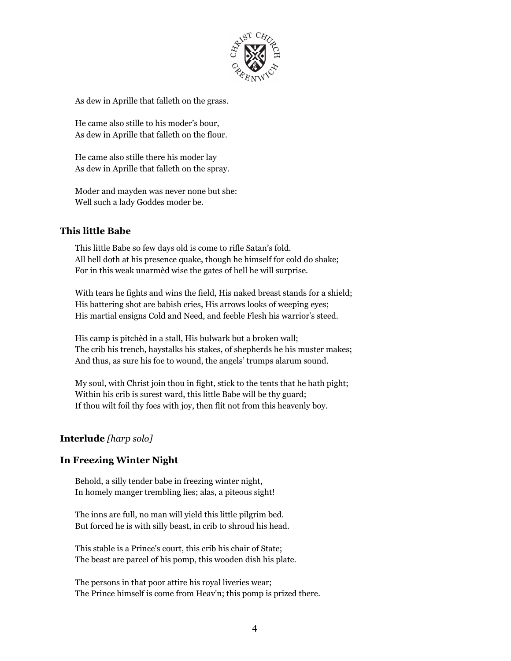

As dew in Aprille that falleth on the grass.

He came also stille to his moder's bour, As dew in Aprille that falleth on the flour.

He came also stille there his moder lay As dew in Aprille that falleth on the spray.

Moder and mayden was never none but she: Well such a lady Goddes moder be.

### **This little Babe**

This little Babe so few days old is come to rifle Satan's fold. All hell doth at his presence quake, though he himself for cold do shake; For in this weak unarmèd wise the gates of hell he will surprise.

With tears he fights and wins the field, His naked breast stands for a shield; His battering shot are babish cries, His arrows looks of weeping eyes; His martial ensigns Cold and Need, and feeble Flesh his warrior's steed.

His camp is pitchèd in a stall, His bulwark but a broken wall; The crib his trench, haystalks his stakes, of shepherds he his muster makes; And thus, as sure his foe to wound, the angels' trumps alarum sound.

My soul, with Christ join thou in fight, stick to the tents that he hath pight; Within his crib is surest ward, this little Babe will be thy guard; If thou wilt foil thy foes with joy, then flit not from this heavenly boy.

### **Interlude** *[harp solo]*

### **In Freezing Winter Night**

Behold, a silly tender babe in freezing winter night, In homely manger trembling lies; alas, a piteous sight!

The inns are full, no man will yield this little pilgrim bed. But forced he is with silly beast, in crib to shroud his head.

This stable is a Prince's court, this crib his chair of State; The beast are parcel of his pomp, this wooden dish his plate.

The persons in that poor attire his royal liveries wear; The Prince himself is come from Heav'n; this pomp is prized there.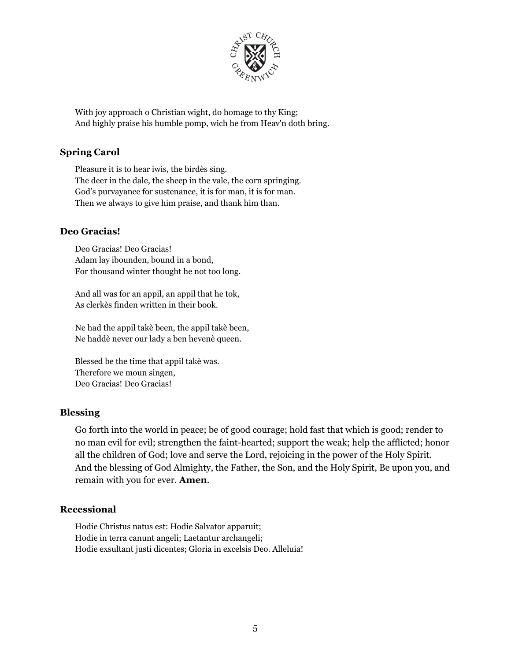

With joy approach o Christian wight, do homage to thy King; And highly praise his humble pomp, wich he from Heav'n doth bring.

### **Spring Carol**

Pleasure it is to hear iwis, the birdès sing. The deer in the dale, the sheep in the vale, the corn springing. God's purvayance for sustenance, it is for man, it is for man. Then we always to give him praise, and thank him than.

### **Deo Gracias!**

Deo Gracias! Deo Gracias! Adam lay ibounden, bound in a bond, For thousand winter thought he not too long.

And all was for an appil, an appil that he tok, As clerkès finden written in their book.

Ne had the appil takè been, the appil takè been, Ne haddè never our lady a ben hevenè queen.

Blessed be the time that appil takè was. Therefore we moun singen, Deo Gracias! Deo Gracias!

#### **Blessing**

Go forth into the world in peace; be of good courage; hold fast that which is good; render to no man evil for evil; strengthen the faint-hearted; support the weak; help the afflicted; honor all the children of God; love and serve the Lord, rejoicing in the power of the Holy Spirit. And the blessing of God Almighty, the Father, the Son, and the Holy Spirit, Be upon you, and remain with you for ever. **Amen**.

### **Recessional**

Hodie Christus natus est: Hodie Salvator apparuit; Hodie in terra canunt angeli; Laetantur archangeli; Hodie exsultant justi dicentes; Gloria in excelsis Deo. Alleluia!